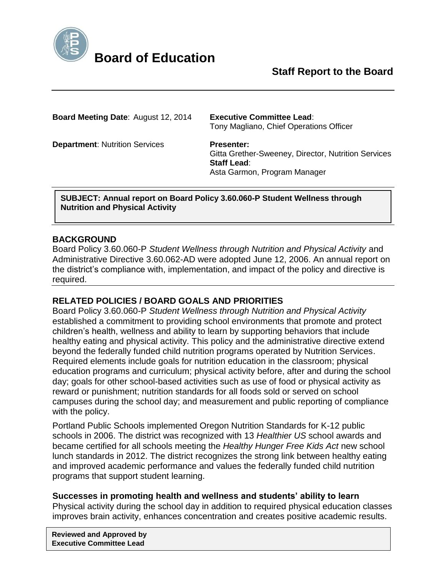

**Board Meeting Date**: August 12, 2014 **Executive Committee Lead**:

Tony Magliano, Chief Operations Officer

**Department: Nutrition Services Presenter:** 

Gitta Grether-Sweeney, Director, Nutrition Services **Staff Lead**: Asta Garmon, Program Manager

**SUBJECT: Annual report on Board Policy 3.60.060-P Student Wellness through Nutrition and Physical Activity**

## **BACKGROUND**

Board Policy 3.60.060-P *Student Wellness through Nutrition and Physical Activity* and Administrative Directive 3.60.062-AD were adopted June 12, 2006. An annual report on the district's compliance with, implementation, and impact of the policy and directive is required.

# **RELATED POLICIES / BOARD GOALS AND PRIORITIES**

Board Policy 3.60.060-P *Student Wellness through Nutrition and Physical Activity* established a commitment to providing school environments that promote and protect children's health, wellness and ability to learn by supporting behaviors that include healthy eating and physical activity. This policy and the administrative directive extend beyond the federally funded child nutrition programs operated by Nutrition Services. Required elements include goals for nutrition education in the classroom; physical education programs and curriculum; physical activity before, after and during the school day; goals for other school-based activities such as use of food or physical activity as reward or punishment; nutrition standards for all foods sold or served on school campuses during the school day; and measurement and public reporting of compliance with the policy.

Portland Public Schools implemented Oregon Nutrition Standards for K-12 public schools in 2006. The district was recognized with 13 *Healthier US* school awards and became certified for all schools meeting the *Healthy Hunger Free Kids Act* new school lunch standards in 2012. The district recognizes the strong link between healthy eating and improved academic performance and values the federally funded child nutrition programs that support student learning.

### **Successes in promoting health and wellness and students' ability to learn**

Physical activity during the school day in addition to required physical education classes improves brain activity, enhances concentration and creates positive academic results.

**Reviewed and Approved by Executive Committee Lead**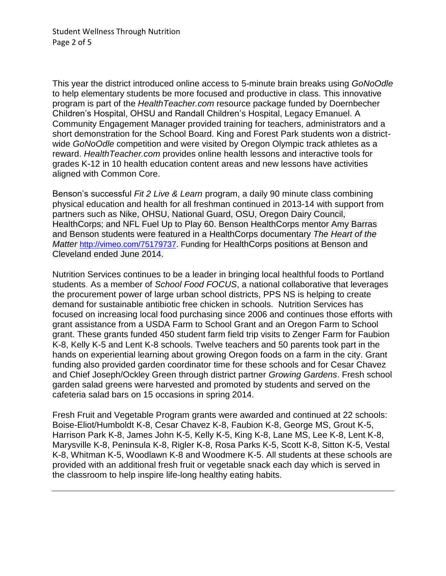This year the district introduced online access to 5-minute brain breaks using *GoNoOdle* to help elementary students be more focused and productive in class. This innovative program is part of the *HealthTeacher.com* resource package funded by Doernbecher Children's Hospital, OHSU and Randall Children's Hospital, Legacy Emanuel. A Community Engagement Manager provided training for teachers, administrators and a short demonstration for the School Board. King and Forest Park students won a districtwide *GoNoOdle* competition and were visited by Oregon Olympic track athletes as a reward. *HealthTeacher.com* provides online health lessons and interactive tools for grades K-12 in 10 health education content areas and new lessons have activities aligned with Common Core.

Benson's successful *Fit 2 Live & Learn* program, a daily 90 minute class combining physical education and health for all freshman continued in 2013-14 with support from partners such as Nike, OHSU, National Guard, OSU, Oregon Dairy Council, HealthCorps; and NFL Fuel Up to Play 60. Benson HealthCorps mentor Amy Barras and Benson students were featured in a HealthCorps documentary *The Heart of the Matter* [http://vimeo.com/75179737.](http://vimeo.com/75179737) Funding for HealthCorps positions at Benson and Cleveland ended June 2014.

Nutrition Services continues to be a leader in bringing local healthful foods to Portland students. As a member of *School Food FOCUS*, a national collaborative that leverages the procurement power of large urban school districts, PPS NS is helping to create demand for sustainable antibiotic free chicken in schools. Nutrition Services has focused on increasing local food purchasing since 2006 and continues those efforts with grant assistance from a USDA Farm to School Grant and an Oregon Farm to School grant. These grants funded 450 student farm field trip visits to Zenger Farm for Faubion K-8, Kelly K-5 and Lent K-8 schools. Twelve teachers and 50 parents took part in the hands on experiential learning about growing Oregon foods on a farm in the city. Grant funding also provided garden coordinator time for these schools and for Cesar Chavez and Chief Joseph/Ockley Green through district partner *Growing Gardens*. Fresh school garden salad greens were harvested and promoted by students and served on the cafeteria salad bars on 15 occasions in spring 2014.

Fresh Fruit and Vegetable Program grants were awarded and continued at 22 schools: Boise-Eliot/Humboldt K-8, Cesar Chavez K-8, Faubion K-8, George MS, Grout K-5, Harrison Park K-8, James John K-5, Kelly K-5, King K-8, Lane MS, Lee K-8, Lent K-8, Marysville K-8, Peninsula K-8, Rigler K-8, Rosa Parks K-5, Scott K-8, Sitton K-5, Vestal K-8, Whitman K-5, Woodlawn K-8 and Woodmere K-5. All students at these schools are provided with an additional fresh fruit or vegetable snack each day which is served in the classroom to help inspire life-long healthy eating habits.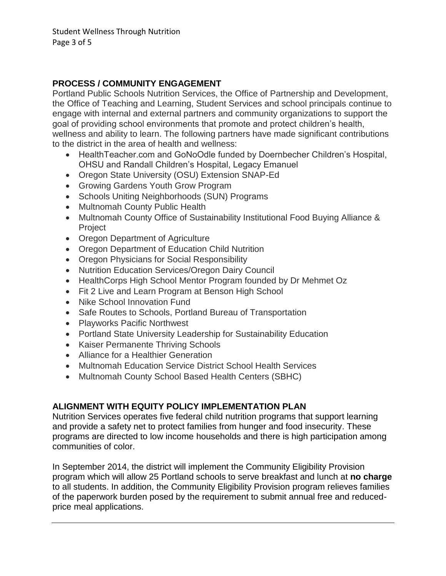# **PROCESS / COMMUNITY ENGAGEMENT**

Portland Public Schools Nutrition Services, the Office of Partnership and Development, the Office of Teaching and Learning, Student Services and school principals continue to engage with internal and external partners and community organizations to support the goal of providing school environments that promote and protect children's health, wellness and ability to learn. The following partners have made significant contributions to the district in the area of health and wellness:

- HealthTeacher.com and GoNoOdle funded by Doernbecher Children's Hospital, OHSU and Randall Children's Hospital, Legacy Emanuel
- Oregon State University (OSU) Extension SNAP-Ed
- Growing Gardens Youth Grow Program
- Schools Uniting Neighborhoods (SUN) Programs
- Multnomah County Public Health
- Multnomah County Office of Sustainability Institutional Food Buying Alliance & Project
- Oregon Department of Agriculture
- Oregon Department of Education Child Nutrition
- Oregon Physicians for Social Responsibility
- Nutrition Education Services/Oregon Dairy Council
- HealthCorps High School Mentor Program founded by Dr Mehmet Oz
- Fit 2 Live and Learn Program at Benson High School
- Nike School Innovation Fund
- Safe Routes to Schools, Portland Bureau of Transportation
- Playworks Pacific Northwest
- Portland State University Leadership for Sustainability Education
- Kaiser Permanente Thriving Schools
- Alliance for a Healthier Generation
- Multnomah Education Service District School Health Services
- Multnomah County School Based Health Centers (SBHC)

# **ALIGNMENT WITH EQUITY POLICY IMPLEMENTATION PLAN**

Nutrition Services operates five federal child nutrition programs that support learning and provide a safety net to protect families from hunger and food insecurity. These programs are directed to low income households and there is high participation among communities of color.

In September 2014, the district will implement the Community Eligibility Provision program which will allow 25 Portland schools to serve breakfast and lunch at **no charge** to all students. In addition, the Community Eligibility Provision program relieves families of the paperwork burden posed by the requirement to submit annual free and reducedprice meal applications.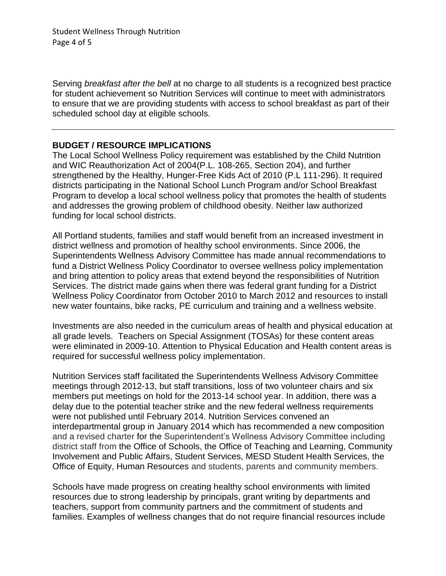Student Wellness Through Nutrition Page 4 of 5

Serving *breakfast after the bell* at no charge to all students is a recognized best practice for student achievement so Nutrition Services will continue to meet with administrators to ensure that we are providing students with access to school breakfast as part of their scheduled school day at eligible schools.

### **BUDGET / RESOURCE IMPLICATIONS**

The Local School Wellness Policy requirement was established by the Child Nutrition and WIC Reauthorization Act of 2004(P.L. 108-265, Section 204), and further strengthened by the Healthy, Hunger-Free Kids Act of 2010 (P.L 111-296). It required districts participating in the National School Lunch Program and/or School Breakfast Program to develop a local school wellness policy that promotes the health of students and addresses the growing problem of childhood obesity. Neither law authorized funding for local school districts.

All Portland students, families and staff would benefit from an increased investment in district wellness and promotion of healthy school environments. Since 2006, the Superintendents Wellness Advisory Committee has made annual recommendations to fund a District Wellness Policy Coordinator to oversee wellness policy implementation and bring attention to policy areas that extend beyond the responsibilities of Nutrition Services. The district made gains when there was federal grant funding for a District Wellness Policy Coordinator from October 2010 to March 2012 and resources to install new water fountains, bike racks, PE curriculum and training and a wellness website.

Investments are also needed in the curriculum areas of health and physical education at all grade levels. Teachers on Special Assignment (TOSAs) for these content areas were eliminated in 2009-10. Attention to Physical Education and Health content areas is required for successful wellness policy implementation.

Nutrition Services staff facilitated the Superintendents Wellness Advisory Committee meetings through 2012-13, but staff transitions, loss of two volunteer chairs and six members put meetings on hold for the 2013-14 school year. In addition, there was a delay due to the potential teacher strike and the new federal wellness requirements were not published until February 2014. Nutrition Services convened an interdepartmental group in January 2014 which has recommended a new composition and a revised charter for the Superintendent's Wellness Advisory Committee including district staff from the Office of Schools, the Office of Teaching and Learning, Community Involvement and Public Affairs, Student Services, MESD Student Health Services, the Office of Equity, Human Resources and students, parents and community members.

Schools have made progress on creating healthy school environments with limited resources due to strong leadership by principals, grant writing by departments and teachers, support from community partners and the commitment of students and families. Examples of wellness changes that do not require financial resources include